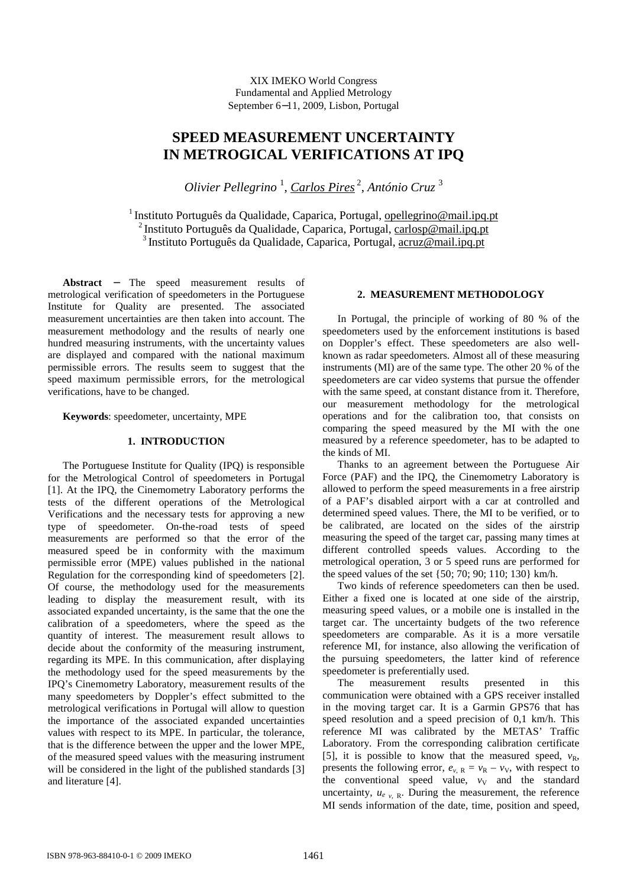XIX IMEKO World Congress Fundamental and Applied Metrology September 6−11, 2009, Lisbon, Portugal

# **SPEED MEASUREMENT UNCERTAINTY IN METROGICAL VERIFICATIONS AT IPQ**

*Olivier Pellegrino* <sup>1</sup> , *Carlos Pires*<sup>2</sup> , *António Cruz* <sup>3</sup>

<sup>1</sup> Instituto Português da Qualidade, Caparica, Portugal, opellegrino@mail.ipq.pt <sup>2</sup>Instituto Português da Qualidade, Caparica, Portugal, carlosp@mail.ipq.pt <sup>3</sup>Instituto Português da Qualidade, Caparica, Portugal, acruz@mail.ipq.pt

**Abstract** − The speed measurement results of metrological verification of speedometers in the Portuguese Institute for Quality are presented. The associated measurement uncertainties are then taken into account. The measurement methodology and the results of nearly one hundred measuring instruments, with the uncertainty values are displayed and compared with the national maximum permissible errors. The results seem to suggest that the speed maximum permissible errors, for the metrological verifications, have to be changed.

**Keywords**: speedometer, uncertainty, MPE

## **1. INTRODUCTION**

The Portuguese Institute for Quality (IPQ) is responsible for the Metrological Control of speedometers in Portugal [1]. At the IPQ, the Cinemometry Laboratory performs the tests of the different operations of the Metrological Verifications and the necessary tests for approving a new type of speedometer. On-the-road tests of speed measurements are performed so that the error of the measured speed be in conformity with the maximum permissible error (MPE) values published in the national Regulation for the corresponding kind of speedometers [2]. Of course, the methodology used for the measurements leading to display the measurement result, with its associated expanded uncertainty, is the same that the one the calibration of a speedometers, where the speed as the quantity of interest. The measurement result allows to decide about the conformity of the measuring instrument, regarding its MPE. In this communication, after displaying the methodology used for the speed measurements by the IPQ's Cinemometry Laboratory, measurement results of the many speedometers by Doppler's effect submitted to the metrological verifications in Portugal will allow to question the importance of the associated expanded uncertainties values with respect to its MPE. In particular, the tolerance, that is the difference between the upper and the lower MPE, of the measured speed values with the measuring instrument will be considered in the light of the published standards [3] and literature [4].

# **2. MEASUREMENT METHODOLOGY**

In Portugal, the principle of working of 80 % of the speedometers used by the enforcement institutions is based on Doppler's effect. These speedometers are also wellknown as radar speedometers. Almost all of these measuring instruments (MI) are of the same type. The other 20 % of the speedometers are car video systems that pursue the offender with the same speed, at constant distance from it. Therefore, our measurement methodology for the metrological operations and for the calibration too, that consists on comparing the speed measured by the MI with the one measured by a reference speedometer, has to be adapted to the kinds of MI.

Thanks to an agreement between the Portuguese Air Force (PAF) and the IPQ, the Cinemometry Laboratory is allowed to perform the speed measurements in a free airstrip of a PAF's disabled airport with a car at controlled and determined speed values. There, the MI to be verified, or to be calibrated, are located on the sides of the airstrip measuring the speed of the target car, passing many times at different controlled speeds values. According to the metrological operation, 3 or 5 speed runs are performed for the speed values of the set {50; 70; 90; 110; 130} km/h.

Two kinds of reference speedometers can then be used. Either a fixed one is located at one side of the airstrip, measuring speed values, or a mobile one is installed in the target car. The uncertainty budgets of the two reference speedometers are comparable. As it is a more versatile reference MI, for instance, also allowing the verification of the pursuing speedometers, the latter kind of reference speedometer is preferentially used.

The measurement results presented in this communication were obtained with a GPS receiver installed in the moving target car. It is a Garmin GPS76 that has speed resolution and a speed precision of 0,1 km/h. This reference MI was calibrated by the METAS' Traffic Laboratory. From the corresponding calibration certificate [5], it is possible to know that the measured speed,  $v_R$ , presents the following error,  $e_{v,R} = v_R - v_V$ , with respect to the conventional speed value,  $v_V$  and the standard uncertainty,  $u_{e}$ ,  $_{R}$ . During the measurement, the reference MI sends information of the date, time, position and speed,